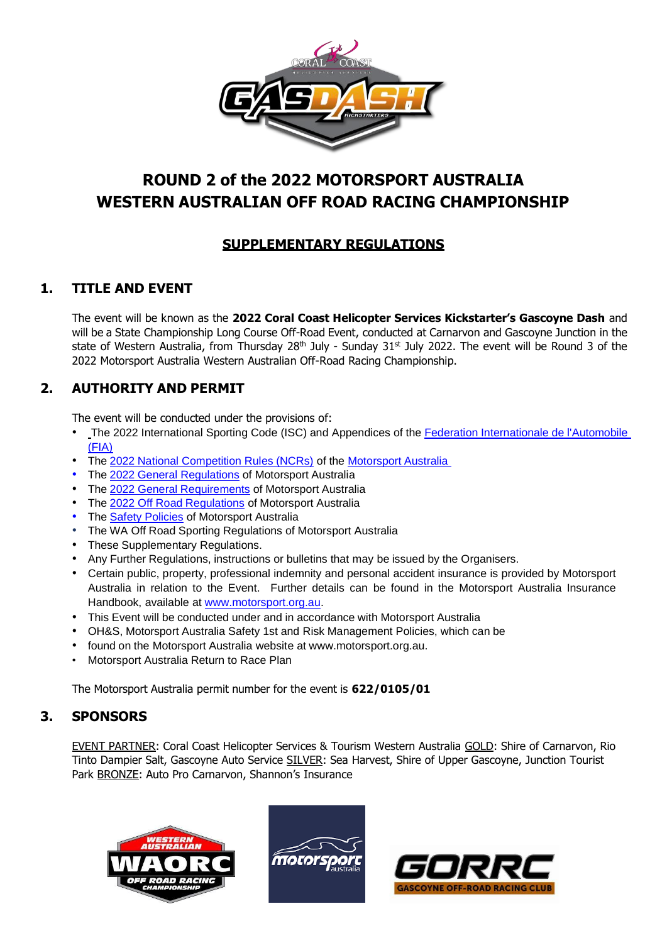

# **ROUND 2 of the 2022 MOTORSPORT AUSTRALIA WESTERN AUSTRALIAN OFF ROAD RACING CHAMPIONSHIP**

## **SUPPLEMENTARY REGULATIONS**

## **1. TITLE AND EVENT**

The event will be known as the **2022 Coral Coast Helicopter Services Kickstarter's Gascoyne Dash** and will be a State Championship Long Course Off-Road Event, conducted at Carnarvon and Gascoyne Junction in the state of Western Australia, from Thursday 28<sup>th</sup> July - Sunday 31<sup>st</sup> July 2022. The event will be Round 3 of the 2022 Motorsport Australia Western Australian Off-Road Racing Championship.

## **2. AUTHORITY AND PERMIT**

The event will be conducted under the provisions of:

- The 2022 International Sporting Code (ISC) and Appendices of the Federation [Internationale](http://www.fia.com/) de l'Automobile [\(FIA\)](http://www.fia.com/)
- The 2022 National [Competition Rules](http://www.cams.com.au/motor-sport/regulations/cams-manual/ncr) (NCRs) of the [Motorsport](https://www.cams.com.au/) Australia
- The 2022 General [Regulations](http://www.cams.com.au/motor-sport/regulations/cams-manual/general-regulations) of Motorsport Australia
- The 2022 General [Requirements](http://www.cams.com.au/motor-sport/regulations/cams-manual/general-requirements) of Motorsport Australia
- The 2022 Off Road [Regulations](http://www.cams.com.au/motor-sport/regulations/cams-manual/off-road) of Motorsport Australia
- The **Safety [Policies](https://www.cams.com.au/motor-sport/safety)** of Motorsport Australia
- The WA Off Road Sporting Regulations of Motorsport Australia
- These Supplementary Regulations.
- Any Further Regulations, instructions or bulletins that may be issued by the Organisers.
- Certain public, property, professional indemnity and personal accident insurance is provided by Motorsport Australia in relation to the Event. Further details can be found in the Motorsport Australia Insurance Handbook, available at [www.motorsport.org.au.](http://www.motorsport.org.au/)
- This Event will be conducted under and in accordance with Motorsport Australia
- OH&S, Motorsport Australia Safety 1st and Risk Management Policies, which can be
- found on the Motorsport Australia website at [www.motorsport.org.au.](http://www.motorsport.org.au/)
- Motorsport Australia Return to Race Plan

The Motorsport Australia permit number for the event is **622/0105/01**

## **3. SPONSORS**

EVENT PARTNER: Coral Coast Helicopter Services & Tourism Western Australia GOLD: Shire of Carnarvon, Rio Tinto Dampier Salt, Gascoyne Auto Service SILVER: Sea Harvest, Shire of Upper Gascoyne, Junction Tourist Park **BRONZE:** Auto Pro Carnarvon, Shannon's Insurance





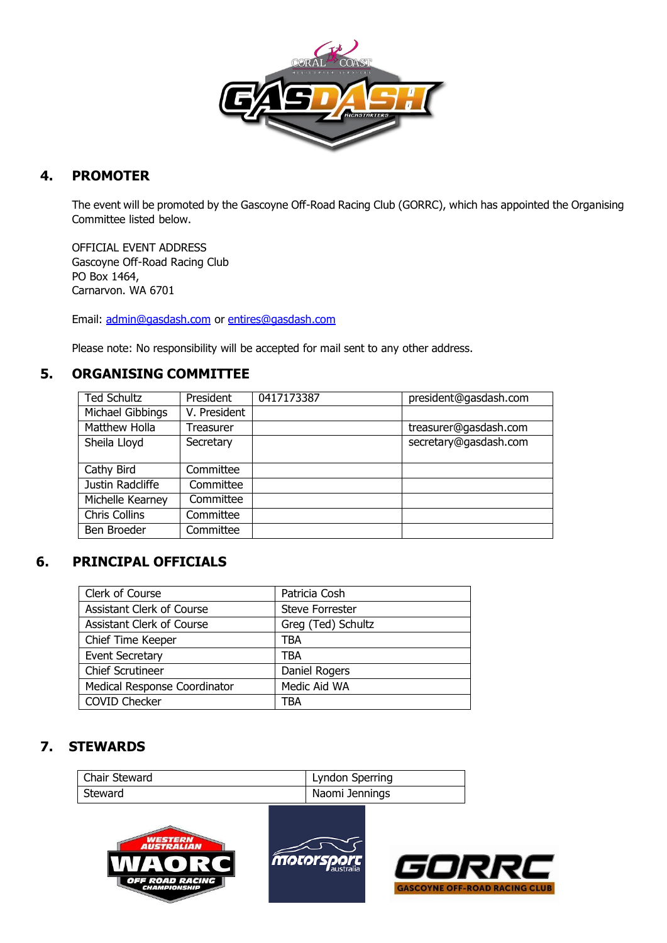

## **4. PROMOTER**

The event will be promoted by the Gascoyne Off-Road Racing Club (GORRC), which has appointed the Organising Committee listed below.

OFFICIAL EVENT ADDRESS Gascoyne Off-Road Racing Club PO Box 1464, Carnarvon. WA 6701

Email: [admin@gasdash.com](mailto:admin@gasdash.com) or [entires@gasdash.com](mailto:entires@gasdash.com)

Please note: No responsibility will be accepted for mail sent to any other address.

### **5. ORGANISING COMMITTEE**

| <b>Ted Schultz</b>   | President    | 0417173387 | president@gasdash.com |
|----------------------|--------------|------------|-----------------------|
| Michael Gibbings     | V. President |            |                       |
| Matthew Holla        | Treasurer    |            | treasurer@gasdash.com |
| Sheila Lloyd         | Secretary    |            | secretary@gasdash.com |
|                      |              |            |                       |
| Cathy Bird           | Committee    |            |                       |
| Justin Radcliffe     | Committee    |            |                       |
| Michelle Kearney     | Committee    |            |                       |
| <b>Chris Collins</b> | Committee    |            |                       |
| Ben Broeder          | Committee    |            |                       |

## **6. PRINCIPAL OFFICIALS**

| Clerk of Course                  | Patricia Cosh          |
|----------------------------------|------------------------|
| Assistant Clerk of Course        | <b>Steve Forrester</b> |
| <b>Assistant Clerk of Course</b> | Greg (Ted) Schultz     |
| Chief Time Keeper                | TBA                    |
| <b>Event Secretary</b>           | TBA                    |
| <b>Chief Scrutineer</b>          | Daniel Rogers          |
| Medical Response Coordinator     | Medic Aid WA           |
| <b>COVID Checker</b>             | TBA                    |

## **7. STEWARDS**

| Chair Steward | Lyndon Sperring |
|---------------|-----------------|
| Steward       | Naomi Jennings  |
|               |                 |

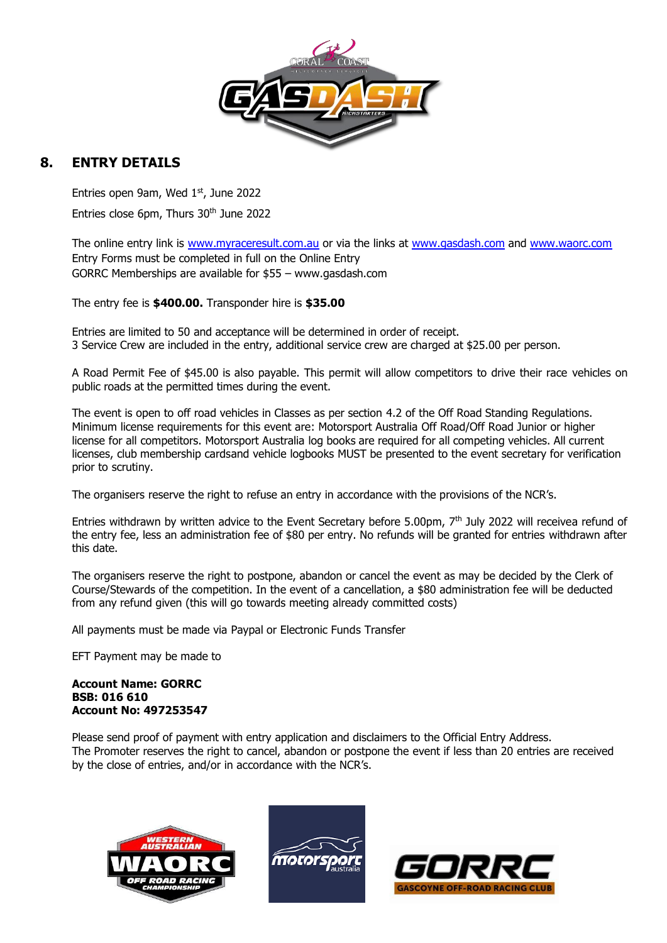

## **8. ENTRY DETAILS**

Entries open 9am, Wed 1st, June 2022 Entries close 6pm, Thurs 30<sup>th</sup> June 2022

The online entry link is [www.myraceresult.com.au](http://www.myraceresult.com.au/) or via the links at [www.gasdash.com](http://www.gasdash.com/) and [www.waorc.com](http://www.waorc.com/) Entry Forms must be completed in full on the Online Entry GORRC Memberships are available for \$55 – [www.gasdash.com](http://www.gasdash.com/)

The entry fee is **\$400.00.** Transponder hire is **\$35.00**

Entries are limited to 50 and acceptance will be determined in order of receipt. 3 Service Crew are included in the entry, additional service crew are charged at \$25.00 per person.

A Road Permit Fee of \$45.00 is also payable. This permit will allow competitors to drive their race vehicles on public roads at the permitted times during the event.

The event is open to off road vehicles in Classes as per section 4.2 of the Off Road Standing Regulations. Minimum license requirements for this event are: Motorsport Australia Off Road/Off Road Junior or higher license for all competitors. Motorsport Australia log books are required for all competing vehicles. All current licenses, club membership cardsand vehicle logbooks MUST be presented to the event secretary for verification prior to scrutiny.

The organisers reserve the right to refuse an entry in accordance with the provisions of the NCR's.

Entries withdrawn by written advice to the Event Secretary before 5.00pm, 7th July 2022 will receivea refund of the entry fee, less an administration fee of \$80 per entry. No refunds will be granted for entries withdrawn after this date.

The organisers reserve the right to postpone, abandon or cancel the event as may be decided by the Clerk of Course/Stewards of the competition. In the event of a cancellation, a \$80 administration fee will be deducted from any refund given (this will go towards meeting already committed costs)

All payments must be made via Paypal or Electronic Funds Transfer

EFT Payment may be made to

#### **Account Name: GORRC BSB: 016 610 Account No: 497253547**

Please send proof of payment with entry application and disclaimers to the Official Entry Address. The Promoter reserves the right to cancel, abandon or postpone the event if less than 20 entries are received by the close of entries, and/or in accordance with the NCR's.





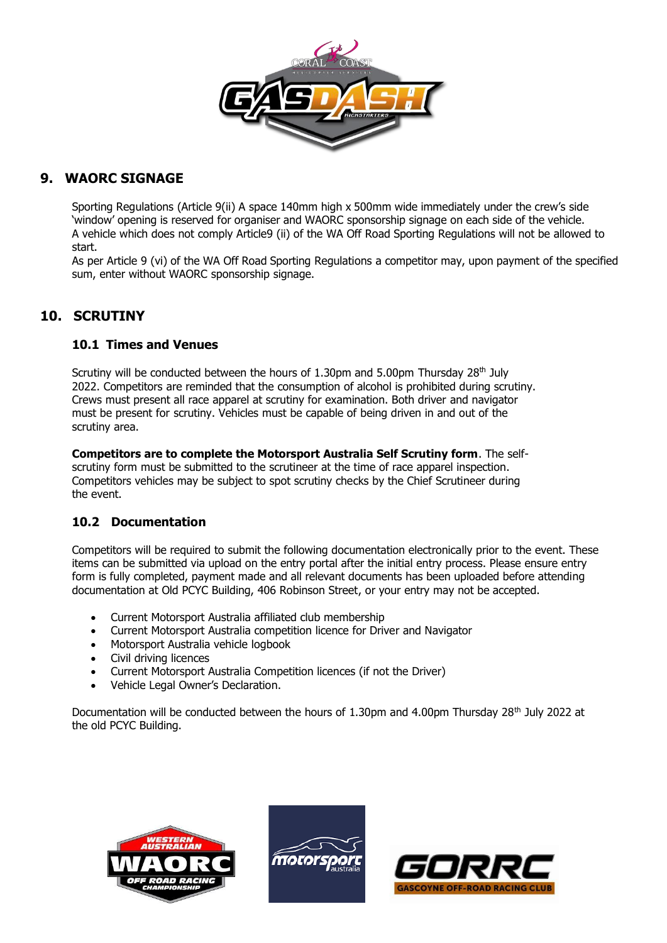

## **9. WAORC SIGNAGE**

Sporting Regulations (Article 9(ii) A space 140mm high x 500mm wide immediately under the crew's side 'window' opening is reserved for organiser and WAORC sponsorship signage on each side of the vehicle. A vehicle which does not comply Article9 (ii) of the WA Off Road Sporting Regulations will not be allowed to start.

As per Article 9 (vi) of the WA Off Road Sporting Regulations a competitor may, upon payment of the specified sum, enter without WAORC sponsorship signage.

## **10. SCRUTINY**

### **10.1 Times and Venues**

Scrutiny will be conducted between the hours of 1.30pm and 5.00pm Thursday  $28<sup>th</sup>$  July 2022. Competitors are reminded that the consumption of alcohol is prohibited during scrutiny. Crews must present all race apparel at scrutiny for examination. Both driver and navigator must be present for scrutiny. Vehicles must be capable of being driven in and out of the scrutiny area.

**Competitors are to complete the Motorsport Australia Self Scrutiny form**. The selfscrutiny form must be submitted to the scrutineer at the time of race apparel inspection. Competitors vehicles may be subject to spot scrutiny checks by the Chief Scrutineer during the event.

### **10.2 Documentation**

Competitors will be required to submit the following documentation electronically prior to the event. These items can be submitted via upload on the entry portal after the initial entry process. Please ensure entry form is fully completed, payment made and all relevant documents has been uploaded before attending documentation at Old PCYC Building, 406 Robinson Street, or your entry may not be accepted.

- Current Motorsport Australia affiliated club membership
- Current Motorsport Australia competition licence for Driver and Navigator
- Motorsport Australia vehicle logbook
- Civil driving licences
- Current Motorsport Australia Competition licences (if not the Driver)
- Vehicle Legal Owner's Declaration.

Documentation will be conducted between the hours of 1.30pm and 4.00pm Thursday 28<sup>th</sup> July 2022 at the old PCYC Building.





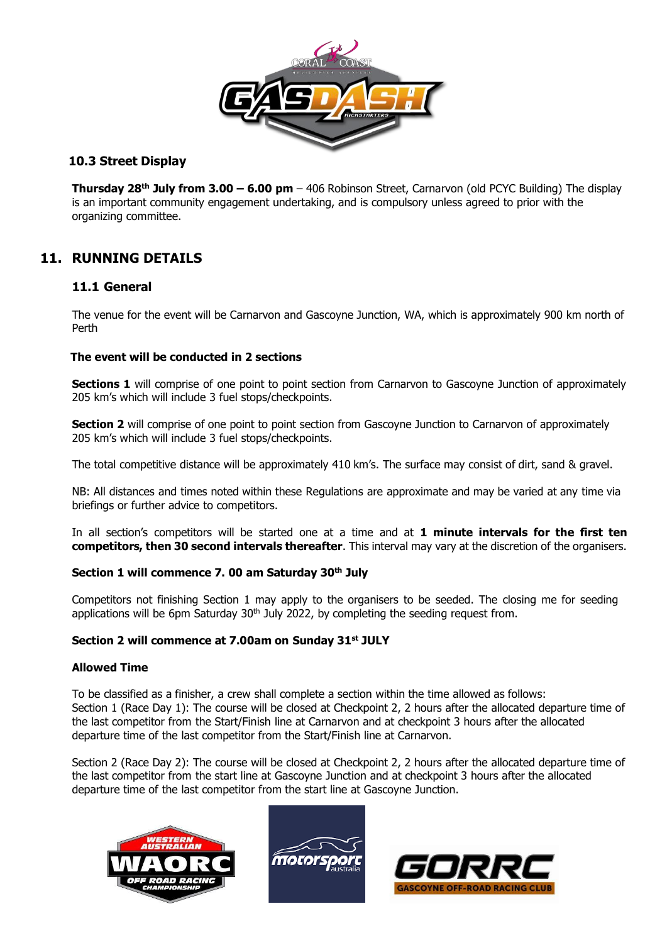

### **10.3 Street Display**

**Thursday 28th July from 3.00 – 6.00 pm** – 406 Robinson Street, Carnarvon (old PCYC Building) The display is an important community engagement undertaking, and is compulsory unless agreed to prior with the organizing committee.

## **11. RUNNING DETAILS**

### **11.1 General**

The venue for the event will be Carnarvon and Gascoyne Junction, WA, which is approximately 900 km north of Perth

#### **The event will be conducted in 2 sections**

**Sections 1** will comprise of one point to point section from Carnarvon to Gascoyne Junction of approximately 205 km's which will include 3 fuel stops/checkpoints.

**Section 2** will comprise of one point to point section from Gascoyne Junction to Carnarvon of approximately 205 km's which will include 3 fuel stops/checkpoints.

The total competitive distance will be approximately 410 km's. The surface may consist of dirt, sand & gravel.

NB: All distances and times noted within these Regulations are approximate and may be varied at any time via briefings or further advice to competitors.

In all section's competitors will be started one at a time and at **1 minute intervals for the first ten competitors, then 30 second intervals thereafter**. This interval may vary at the discretion of the organisers.

#### **Section 1 will commence 7. 00 am Saturday 30th July**

Competitors not finishing Section 1 may apply to the organisers to be seeded. The closing me for seeding applications will be 6pm Saturday  $30<sup>th</sup>$  July 2022, by completing the seeding request from.

#### **Section 2 will commence at 7.00am on Sunday 31st JULY**

#### **Allowed Time**

To be classified as a finisher, a crew shall complete a section within the time allowed as follows: Section 1 (Race Day 1): The course will be closed at Checkpoint 2, 2 hours after the allocated departure time of the last competitor from the Start/Finish line at Carnarvon and at checkpoint 3 hours after the allocated departure time of the last competitor from the Start/Finish line at Carnarvon.

Section 2 (Race Day 2): The course will be closed at Checkpoint 2, 2 hours after the allocated departure time of the last competitor from the start line at Gascoyne Junction and at checkpoint 3 hours after the allocated departure time of the last competitor from the start line at Gascoyne Junction.





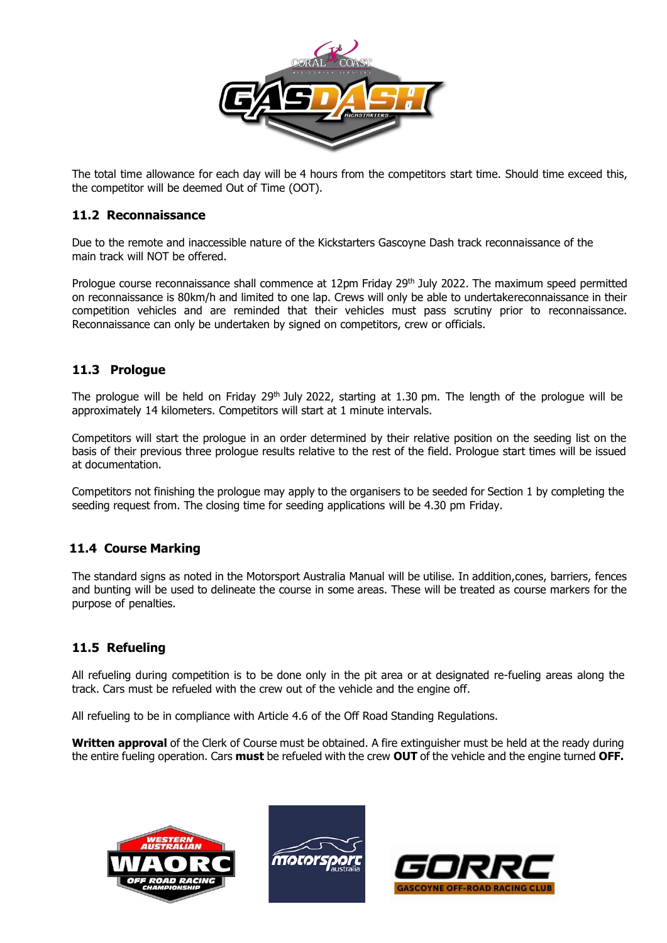

The total time allowance for each day will be 4 hours from the competitors start time. Should time exceed this, the competitor will be deemed Out of Time (OOT).

#### **11.2 Reconnaissance**

Due to the remote and inaccessible nature of the Kickstarters Gascoyne Dash track reconnaissance of the main track will NOT be offered.

Prologue course reconnaissance shall commence at 12pm Friday 29<sup>th</sup> July 2022. The maximum speed permitted on reconnaissance is 80km/h and limited to one lap. Crews will only be able to undertakereconnaissance in their competition vehicles and are reminded that their vehicles must pass scrutiny prior to reconnaissance. Reconnaissance can only be undertaken by signed on competitors, crew or officials.

#### **11.3 Prologue**

The prologue will be held on Friday 29<sup>th</sup> July 2022, starting at 1.30 pm. The length of the prologue will be approximately 14 kilometers. Competitors will start at 1 minute intervals.

Competitors will start the prologue in an order determined by their relative position on the seeding list on the basis of their previous three prologue results relative to the rest of the field. Prologue start times will be issued at documentation.

Competitors not finishing the prologue may apply to the organisers to be seeded for Section 1 by completing the seeding request from. The closing time for seeding applications will be 4.30 pm Friday.

#### **11.4 Course Marking**

The standard signs as noted in the Motorsport Australia Manual will be utilise. In addition,cones, barriers, fences and bunting will be used to delineate the course in some areas. These will be treated as course markers for the purpose of penalties.

### **11.5 Refueling**

All refueling during competition is to be done only in the pit area or at designated re-fueling areas along the track. Cars must be refueled with the crew out of the vehicle and the engine off.

All refueling to be in compliance with Article 4.6 of the Off Road Standing Regulations.

**Written approval** of the Clerk of Course must be obtained. A fire extinguisher must be held at the ready during the entire fueling operation. Cars **must** be refueled with the crew **OUT** of the vehicle and the engine turned **OFF.**





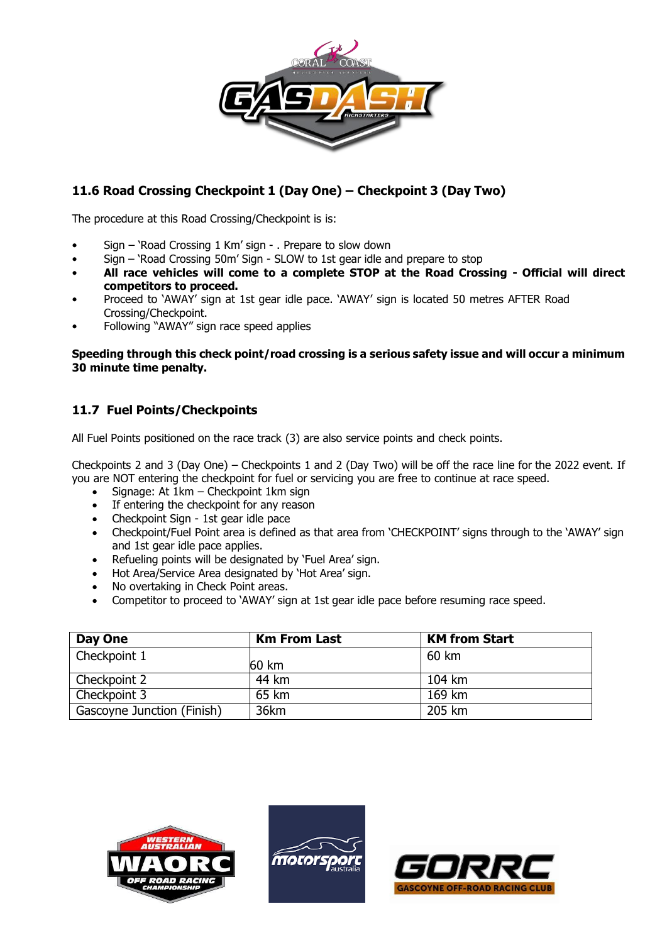

## **11.6 Road Crossing Checkpoint 1 (Day One) – Checkpoint 3 (Day Two)**

The procedure at this Road Crossing/Checkpoint is is:

- Sign 'Road Crossing 1 Km' sign . Prepare to slow down
- Sign 'Road Crossing 50m' Sign SLOW to 1st gear idle and prepare to stop
- **All race vehicles will come to a complete STOP at the Road Crossing - Official will direct competitors to proceed.**
- Proceed to 'AWAY' sign at 1st gear idle pace. 'AWAY' sign is located 50 metres AFTER Road Crossing/Checkpoint.
- Following "AWAY" sign race speed applies

#### **Speeding through this check point/road crossing is a serious safety issue and will occur a minimum 30 minute time penalty.**

### **11.7 Fuel Points/Checkpoints**

All Fuel Points positioned on the race track (3) are also service points and check points.

Checkpoints 2 and 3 (Day One) – Checkpoints 1 and 2 (Day Two) will be off the race line for the 2022 event. If you are NOT entering the checkpoint for fuel or servicing you are free to continue at race speed.

- Signage: At 1km Checkpoint 1km sign
- If entering the checkpoint for any reason
- Checkpoint Sign 1st gear idle pace
- Checkpoint/Fuel Point area is defined as that area from 'CHECKPOINT' signs through to the 'AWAY' sign and 1st gear idle pace applies.
- Refueling points will be designated by 'Fuel Area' sign.
- Hot Area/Service Area designated by 'Hot Area' sign.
- No overtaking in Check Point areas.
- Competitor to proceed to 'AWAY' sign at 1st gear idle pace before resuming race speed.

| Day One                    | <b>Km From Last</b> | <b>KM from Start</b> |
|----------------------------|---------------------|----------------------|
| Checkpoint 1               | 60 km               | 60 km                |
| Checkpoint 2               | 44 km               | $104 \mathrm{km}$    |
| Checkpoint 3               | 65 km               | 169 km               |
| Gascoyne Junction (Finish) | 36km                | 205 km               |





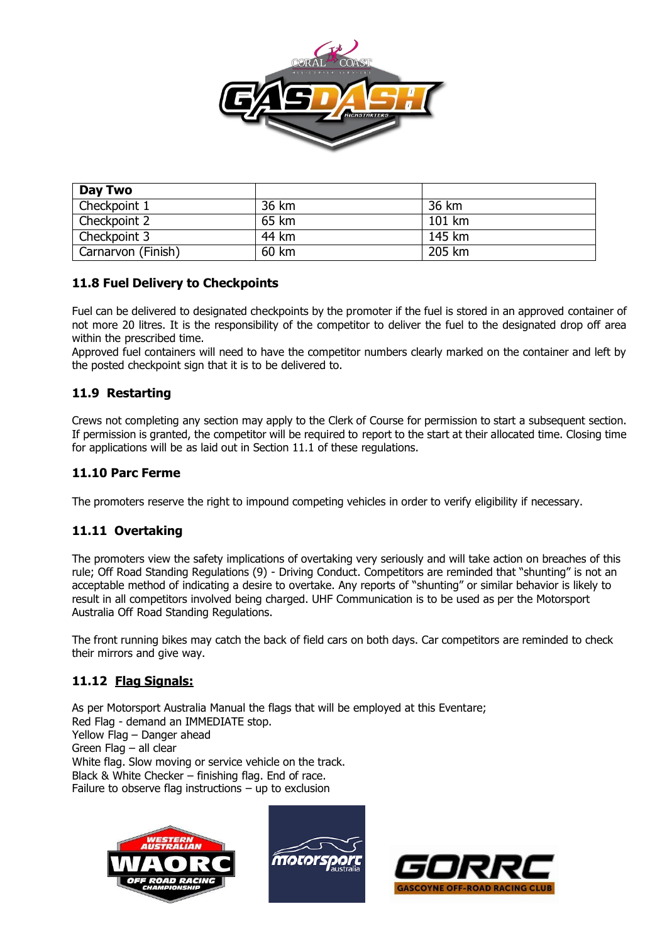

| Day Two            |       |        |
|--------------------|-------|--------|
| Checkpoint 1       | 36 km | 36 km  |
| Checkpoint 2       | 65 km | 101 km |
| Checkpoint 3       | 44 km | 145 km |
| Carnarvon (Finish) | 60 km | 205 km |

### **11.8 Fuel Delivery to Checkpoints**

Fuel can be delivered to designated checkpoints by the promoter if the fuel is stored in an approved container of not more 20 litres. It is the responsibility of the competitor to deliver the fuel to the designated drop off area within the prescribed time.

Approved fuel containers will need to have the competitor numbers clearly marked on the container and left by the posted checkpoint sign that it is to be delivered to.

### **11.9 Restarting**

Crews not completing any section may apply to the Clerk of Course for permission to start a subsequent section. If permission is granted, the competitor will be required to report to the start at their allocated time. Closing time for applications will be as laid out in Section 11.1 of these regulations.

#### **11.10 Parc Ferme**

The promoters reserve the right to impound competing vehicles in order to verify eligibility if necessary.

### **11.11 Overtaking**

The promoters view the safety implications of overtaking very seriously and will take action on breaches of this rule; Off Road Standing Regulations (9) - Driving Conduct. Competitors are reminded that "shunting" is not an acceptable method of indicating a desire to overtake. Any reports of "shunting" or similar behavior is likely to result in all competitors involved being charged. UHF Communication is to be used as per the Motorsport Australia Off Road Standing Regulations.

The front running bikes may catch the back of field cars on both days. Car competitors are reminded to check their mirrors and give way.

### **11.12 Flag Signals:**

As per Motorsport Australia Manual the flags that will be employed at this Eventare; Red Flag - demand an IMMEDIATE stop. Yellow Flag – Danger ahead Green Flag – all clear White flag. Slow moving or service vehicle on the track. Black & White Checker – finishing flag. End of race. Failure to observe flag instructions  $-$  up to exclusion





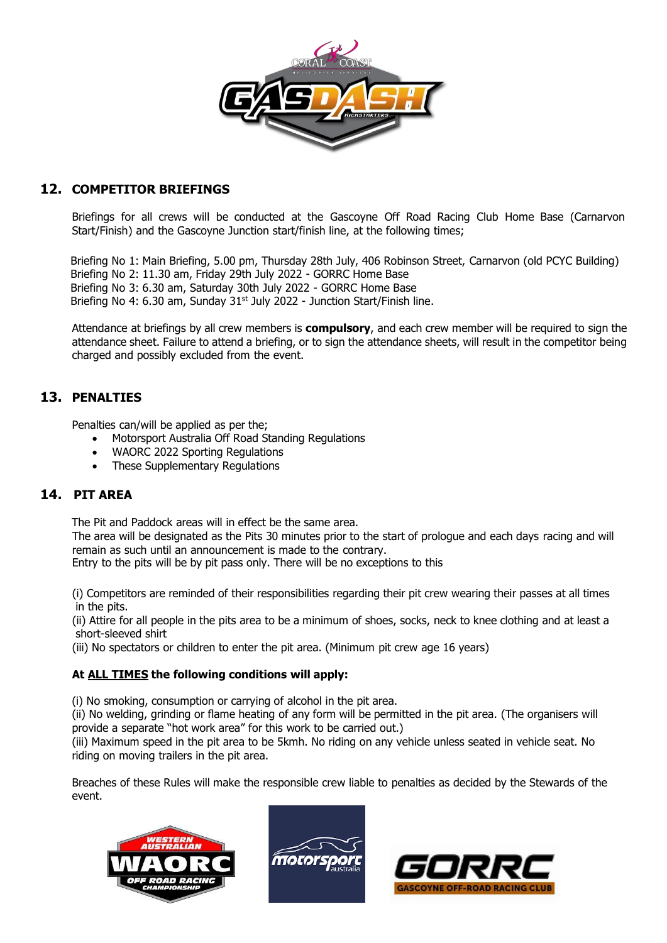

### **12. COMPETITOR BRIEFINGS**

Briefings for all crews will be conducted at the Gascoyne Off Road Racing Club Home Base (Carnarvon Start/Finish) and the Gascoyne Junction start/finish line, at the following times;

Briefing No 1: Main Briefing, 5.00 pm, Thursday 28th July, 406 Robinson Street, Carnarvon (old PCYC Building) Briefing No 2: 11.30 am, Friday 29th July 2022 - GORRC Home Base Briefing No 3: 6.30 am, Saturday 30th July 2022 - GORRC Home Base Briefing No 4: 6.30 am, Sunday 31<sup>st</sup> July 2022 - Junction Start/Finish line.

Attendance at briefings by all crew members is **compulsory**, and each crew member will be required to sign the attendance sheet. Failure to attend a briefing, or to sign the attendance sheets, will result in the competitor being charged and possibly excluded from the event.

### **13. PENALTIES**

Penalties can/will be applied as per the;

- Motorsport Australia Off Road Standing Regulations
- WAORC 2022 Sporting Regulations
- These Supplementary Regulations

### **14. PIT AREA**

The Pit and Paddock areas will in effect be the same area.

The area will be designated as the Pits 30 minutes prior to the start of prologue and each days racing and will remain as such until an announcement is made to the contrary.

Entry to the pits will be by pit pass only. There will be no exceptions to this

(i) Competitors are reminded of their responsibilities regarding their pit crew wearing their passes at all times in the pits.

(ii) Attire for all people in the pits area to be a minimum of shoes, socks, neck to knee clothing and at least a short-sleeved shirt

(iii) No spectators or children to enter the pit area. (Minimum pit crew age 16 years)

#### **At ALL TIMES the following conditions will apply:**

(i) No smoking, consumption or carrying of alcohol in the pit area.

(ii) No welding, grinding or flame heating of any form will be permitted in the pit area. (The organisers will provide a separate "hot work area" for this work to be carried out.)

(iii) Maximum speed in the pit area to be 5kmh. No riding on any vehicle unless seated in vehicle seat. No riding on moving trailers in the pit area.

Breaches of these Rules will make the responsible crew liable to penalties as decided by the Stewards of the event.





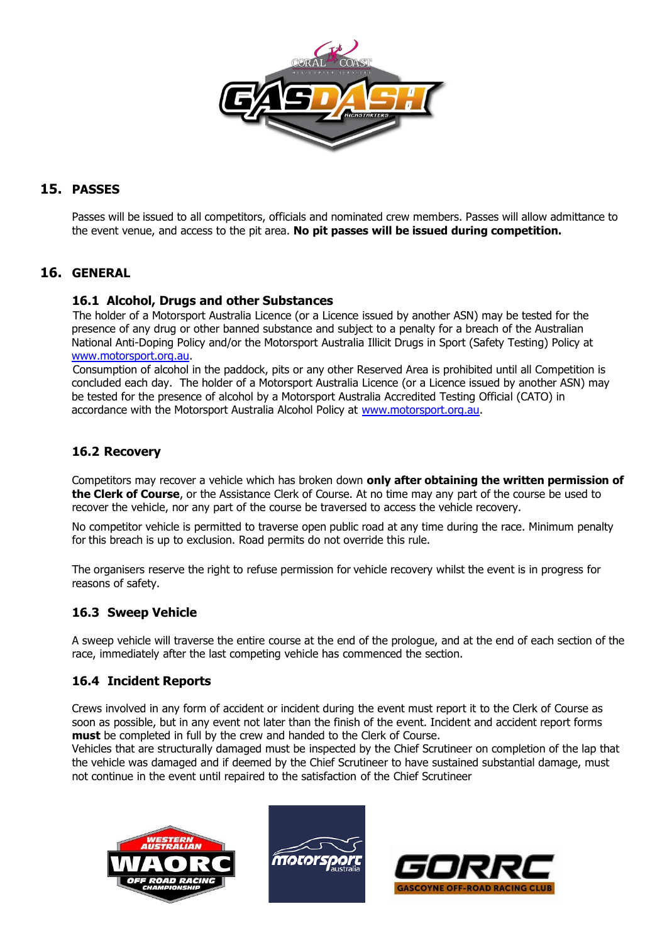

## **15. PASSES**

Passes will be issued to all competitors, officials and nominated crew members. Passes will allow admittance to the event venue, and access to the pit area. **No pit passes will be issued during competition.**

### **16. GENERAL**

#### **16.1 Alcohol, Drugs and other Substances**

The holder of a Motorsport Australia Licence (or a Licence issued by another ASN) may be tested for the presence of any drug or other banned substance and subject to a penalty for a breach of the Australian National Anti-Doping Policy and/or the Motorsport Australia Illicit Drugs in Sport (Safety Testing) Policy at [www.motorsport.org.au.](http://www.motorsport.org.au/)

Consumption of alcohol in the paddock, pits or any other Reserved Area is prohibited until all Competition is concluded each day. The holder of a Motorsport Australia Licence (or a Licence issued by another ASN) may be tested for the presence of alcohol by a Motorsport Australia Accredited Testing Official (CATO) in accordance with the Motorsport Australia Alcohol Policy at [www.motorsport.org.au.](http://www.motorsport.org.au/)

#### **16.2 Recovery**

Competitors may recover a vehicle which has broken down **only after obtaining the written permission of the Clerk of Course**, or the Assistance Clerk of Course. At no time may any part of the course be used to recover the vehicle, nor any part of the course be traversed to access the vehicle recovery.

No competitor vehicle is permitted to traverse open public road at any time during the race. Minimum penalty for this breach is up to exclusion. Road permits do not override this rule.

The organisers reserve the right to refuse permission for vehicle recovery whilst the event is in progress for reasons of safety.

### **16.3 Sweep Vehicle**

A sweep vehicle will traverse the entire course at the end of the prologue, and at the end of each section of the race, immediately after the last competing vehicle has commenced the section.

#### **16.4 Incident Reports**

Crews involved in any form of accident or incident during the event must report it to the Clerk of Course as soon as possible, but in any event not later than the finish of the event. Incident and accident report forms **must** be completed in full by the crew and handed to the Clerk of Course.

Vehicles that are structurally damaged must be inspected by the Chief Scrutineer on completion of the lap that the vehicle was damaged and if deemed by the Chief Scrutineer to have sustained substantial damage, must not continue in the event until repaired to the satisfaction of the Chief Scrutineer





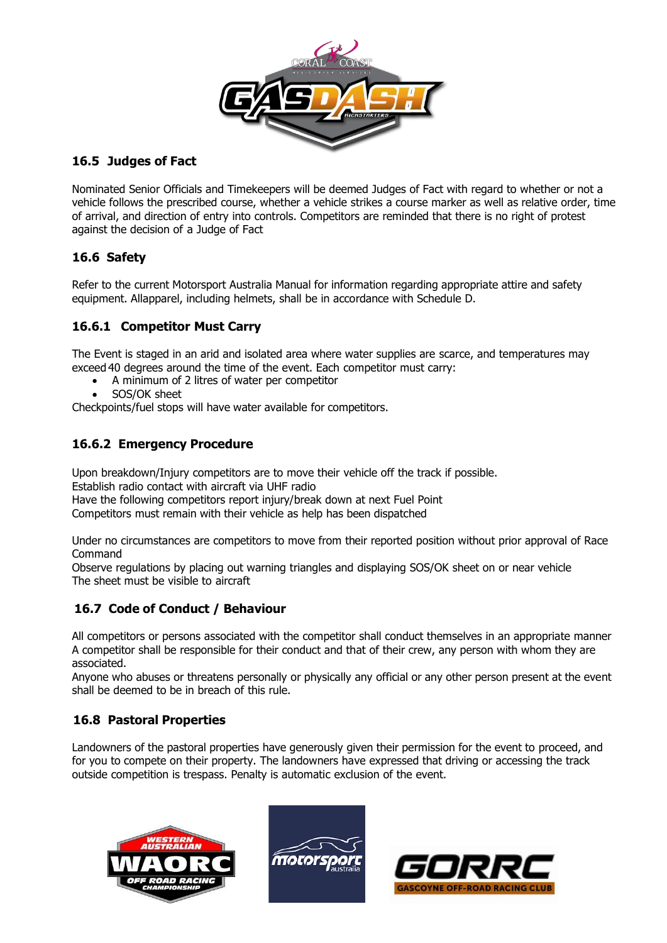

### **16.5 Judges of Fact**

Nominated Senior Officials and Timekeepers will be deemed Judges of Fact with regard to whether or not a vehicle follows the prescribed course, whether a vehicle strikes a course marker as well as relative order, time of arrival, and direction of entry into controls. Competitors are reminded that there is no right of protest against the decision of a Judge of Fact

### **16.6 Safety**

Refer to the current Motorsport Australia Manual for information regarding appropriate attire and safety equipment. Allapparel, including helmets, shall be in accordance with Schedule D.

### **16.6.1 Competitor Must Carry**

The Event is staged in an arid and isolated area where water supplies are scarce, and temperatures may exceed 40 degrees around the time of the event. Each competitor must carry:

- A minimum of 2 litres of water per competitor
	- SOS/OK sheet

Checkpoints/fuel stops will have water available for competitors.

### **16.6.2 Emergency Procedure**

Upon breakdown/Injury competitors are to move their vehicle off the track if possible. Establish radio contact with aircraft via UHF radio Have the following competitors report injury/break down at next Fuel Point

Competitors must remain with their vehicle as help has been dispatched

Under no circumstances are competitors to move from their reported position without prior approval of Race Command

Observe regulations by placing out warning triangles and displaying SOS/OK sheet on or near vehicle The sheet must be visible to aircraft

### **16.7 Code of Conduct / Behaviour**

All competitors or persons associated with the competitor shall conduct themselves in an appropriate manner A competitor shall be responsible for their conduct and that of their crew, any person with whom they are associated.

Anyone who abuses or threatens personally or physically any official or any other person present at the event shall be deemed to be in breach of this rule.

### **16.8 Pastoral Properties**

Landowners of the pastoral properties have generously given their permission for the event to proceed, and for you to compete on their property. The landowners have expressed that driving or accessing the track outside competition is trespass. Penalty is automatic exclusion of the event.





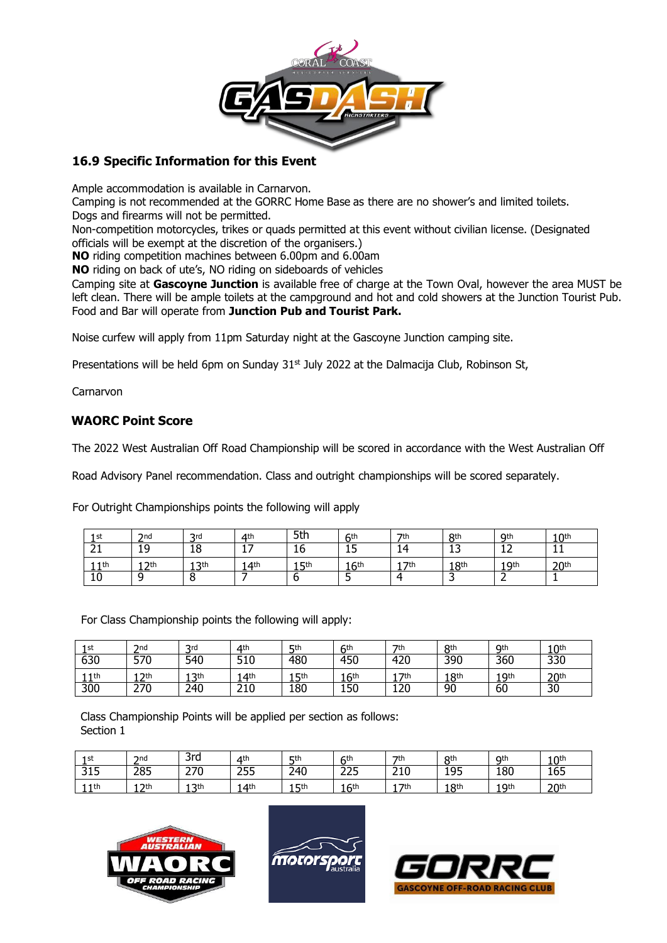

### **16.9 Specific Information for this Event**

Ample accommodation is available in Carnarvon.

Camping is not recommended at the GORRC Home Base as there are no shower's and limited toilets. Dogs and firearms will not be permitted.

Non-competition motorcycles, trikes or quads permitted at this event without civilian license. (Designated officials will be exempt at the discretion of the organisers.)

**NO** riding competition machines between 6.00pm and 6.00am

**NO** riding on back of ute's, NO riding on sideboards of vehicles

Camping site at **Gascoyne Junction** is available free of charge at the Town Oval, however the area MUST be left clean. There will be ample toilets at the campground and hot and cold showers at the Junction Tourist Pub. Food and Bar will operate from **Junction Pub and Tourist Park.**

Noise curfew will apply from 11pm Saturday night at the Gascoyne Junction camping site.

Presentations will be held 6pm on Sunday  $31<sup>st</sup>$  July 2022 at the Dalmacija Club, Robinson St,

Carnarvon

### **WAORC Point Score**

The 2022 West Australian Off Road Championship will be scored in accordance with the West Australian Off

Road Advisory Panel recommendation. Class and outright championships will be scored separately.

For Outright Championships points the following will apply

| 1st              | 2nd              | 2rd        | 4 <sup>th</sup>                      | 5th             | <b>Ath</b>       | <b>7th</b>      | <b>Rth</b>       | Qth                            | 10 <sup>th</sup> |
|------------------|------------------|------------|--------------------------------------|-----------------|------------------|-----------------|------------------|--------------------------------|------------------|
| $\sim$<br>ᅀᄔ     | 19               | 18         | $\overline{\phantom{0}}$<br><b>L</b> | 16              | ᆠ                | 14              | ר 1<br>ᅩ         | $\overline{\phantom{a}}$<br>∸∸ | <b>. .</b>       |
| 11 <sup>th</sup> | 12 <sup>th</sup> | ' 2th<br>ᅩ | 14th                                 | <b>5th</b><br>ᅩ | 16 <sup>th</sup> | 7 <sup>th</sup> | 18 <sup>th</sup> | 1 Qth<br>.                     | 20 <sup>th</sup> |
| 10               | $\circ$          |            |                                      |                 |                  | Δ               |                  | -                              |                  |

For Class Championship points the following will apply:

| 1st | 2nd        | <b>2rd</b>        | $\Delta$ th     | <b>5th</b>        | <b>Ath</b>      | 7th       | <b>Rth</b>       | Qth        | 10 <sup>th</sup> |
|-----|------------|-------------------|-----------------|-------------------|-----------------|-----------|------------------|------------|------------------|
| 630 | 570        | 540               | 510             | 480               | 450             | 420       | 390              | 360        | 330              |
| 1th | <b>つth</b> | <b>2th</b><br>. . | 4 <sup>th</sup> | <b>5th</b><br>. . | 6 <sup>th</sup> | 7th       | 18 <sup>th</sup> | Oth<br>. . | 20 <sup>th</sup> |
| 300 | 270        | 240               | 210             | 180               | 150             | חר<br>⊥∠∪ | 90               | 60         | 30               |

Class Championship Points will be applied per section as follows: Section 1

| 1st                    | 2n <sub>d</sub> | 3rd        | 4 <sup>th</sup>  | <b>5th</b>  | <b>Ath</b>        | 7 <sub>th</sub>   | <b>Qth</b>       | Qth        | n <sub>th</sub><br>. U |
|------------------------|-----------------|------------|------------------|-------------|-------------------|-------------------|------------------|------------|------------------------|
| 24F<br>∽<br><b>JTJ</b> | 285             | 270<br>27  | 255              | 240         | つつに<br>تے         | <b>210</b><br>21U | 195<br>ᅩᄀ┙       | 180        | 165                    |
| 1 <sup>th</sup><br>- - | つth             | 12th<br>-- | 14 <sup>th</sup> | । ⊑th<br>-- | <b>Ath</b><br>. . | <b>7th</b>        | <b>Qth</b><br>-- | Oth<br>- - | $2$ nth<br>- -         |





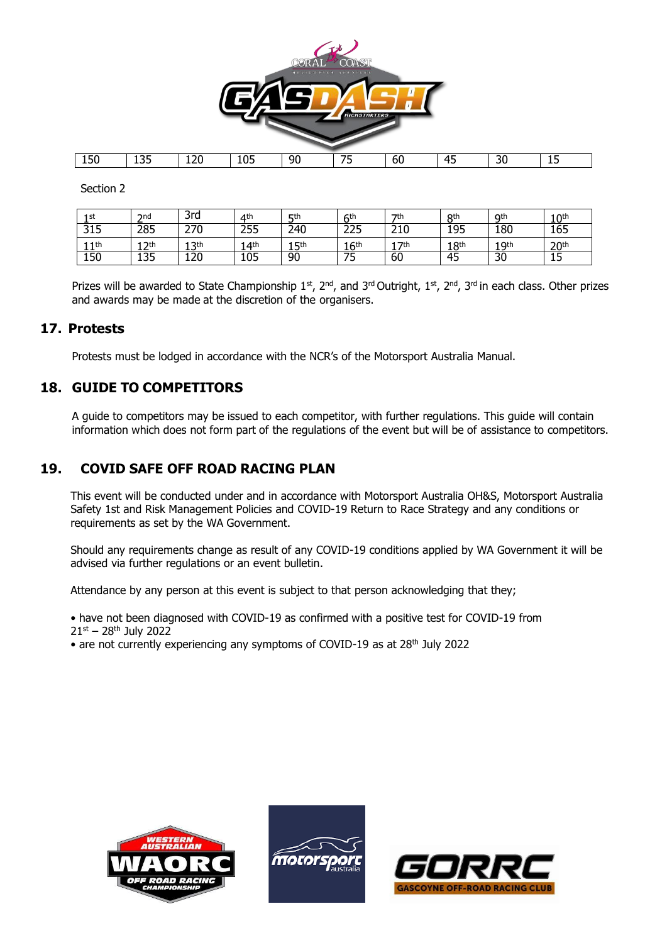

Section 2

| 1st              | $2n$ d | 3rd              | $\Delta$ th     | <b>5th</b> | <b>6th</b>       | 7 <sup>th</sup> | 8 <sup>th</sup>  | Qth          | 10 <sup>th</sup> |
|------------------|--------|------------------|-----------------|------------|------------------|-----------------|------------------|--------------|------------------|
| 315              | 285    | 270              | 255             | 240        | 225              | 210             | 195              | 180          | 165              |
| 11th<br><b>A</b> | l つth  | <b>3th</b><br>-- | 4 <sup>th</sup> | 1 Lth<br>◡ | 16 <sup>th</sup> | 7 <sup>th</sup> | 18 <sup>th</sup> | 1 Qth<br>- - | 20 <sup>th</sup> |
| 150              | 135    | 120              | 105             | 90         | 75               | 60              | 45               | 30           | 15               |

Prizes will be awarded to State Championship  $1^{\text{st}}$ ,  $2^{\text{nd}}$ , and  $3^{\text{rd}}$  Outright,  $1^{\text{st}}$ ,  $2^{\text{nd}}$ ,  $3^{\text{rd}}$  in each class. Other prizes and awards may be made at the discretion of the organisers.

### **17. Protests**

Protests must be lodged in accordance with the NCR's of the Motorsport Australia Manual.

### **18. GUIDE TO COMPETITORS**

A guide to competitors may be issued to each competitor, with further regulations. This guide will contain information which does not form part of the regulations of the event but will be of assistance to competitors.

### **19. COVID SAFE OFF ROAD RACING PLAN**

This event will be conducted under and in accordance with Motorsport Australia OH&S, Motorsport Australia Safety 1st and Risk Management Policies and COVID-19 Return to Race Strategy and any conditions or requirements as set by the WA Government.

Should any requirements change as result of any COVID-19 conditions applied by WA Government it will be advised via further regulations or an event bulletin.

Attendance by any person at this event is subject to that person acknowledging that they;

• have not been diagnosed with COVID-19 as confirmed with a positive test for COVID-19 from  $21^{st} - 28^{th}$  July 2022

• are not currently experiencing any symptoms of COVID-19 as at 28<sup>th</sup> July 2022